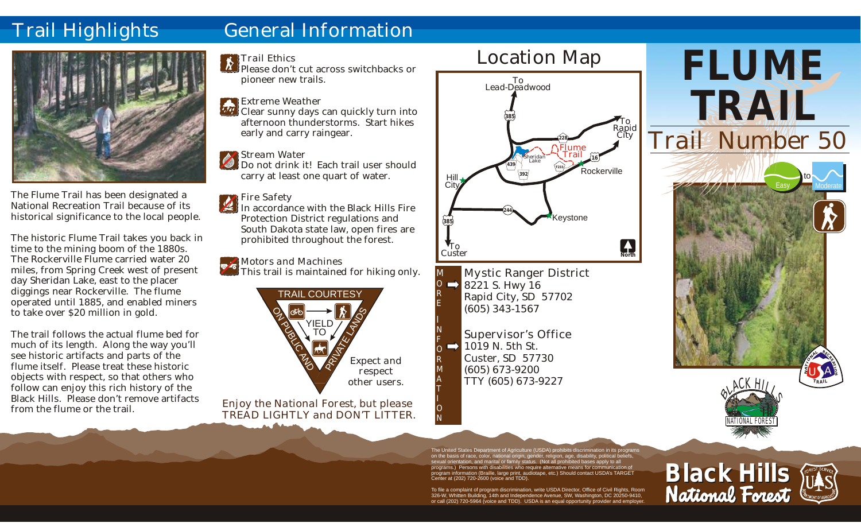## Trail Highlights

### General Information



The Flume Trail has been designated a National Recreation Trail because of its historical significance to the local people.

The historic Flume Trail takes you back in time to the mining boom of the 1880s. The Rockerville Flume carried water 20 miles, from Spring Creek west of present day Sheridan Lake, east to the placer diggings near Rockerville. The flume operated until 1885, and enabled miners to take over \$20 million in gold.

The trail follows the actual flume bed for much of its length. Along the way you'll see historic artifacts and parts of the flume itself. Please treat these historic objects with respect, so that others who follow can enjoy this rich history of the Black Hills. Please don't remove artifacts from the flume or the trail.

#### *Trail Ethics*

- Please don't cut across switchbacks or pioneer new trails.
- *Extreme Weather*
- **Clear sunny days can quickly turn into** afternoon thunderstorms. Start hikes early and carry raingear.
	- *Stream Water*
- Do not drink it! Each trail user should carry at least one quart of water.

#### *Fire Safety*

- In accordance with the Black Hills Fire Protection District regulations and South Dakota state law, open fires are prohibited throughout the forest.
- *Motors and Machines*
- This trail is maintained for hiking only.



*Enjoy the National Forest, but please TREAD LIGHTLY and DON'T LITTER.*



Mystic Ranger District  $\Rightarrow$  8221 S. Hwy 16 Rapid City, SD 57702 (605) 343-1567

M O R E I N F O R M A T I O N

Supervisor's Office  $\rightarrow$  1019 N. 5th St. Custer, SD 57730 (605) 673-9200 TTY (605) 673-9227



**Black Hills**

NATIONAL FOREST

The United States Department of Agriculture (USDA) prohibits discrimination in its programs on the basis of race, color, national origin, gender, religion, age, disability, political beliefs, sexual orientation, and marital or family status. (Not all prohibited bases apply to all programs.) Persons with disabilities who require alternative means for communication of program information (Braille, large print, audiotape, etc.) Should contact USDA's TARGET Center at (202) 720-2600 (voice and TDD).

To file a complaint of program discrimination, write USDA Director, Office of Civil Rights, Room 326-W, Whitten Building, 14th and Independence Avenue, SW, Washington, DC 20250-9410, or call (202) 720-5964 (voice and TDD). USDA is an equal opportunity provider and employe